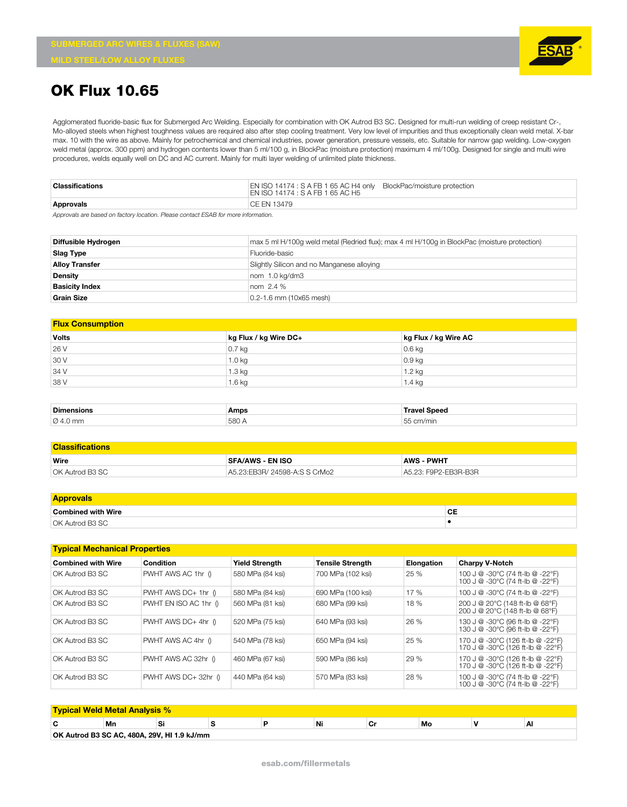## **OK Flux 10.65**

Agglomerated fluoride-basic flux for Submerged Arc Welding. Especially for combination with OK Autrod B3 SC. Designed for multi-run welding of creep resistant Cr-, Mo-alloyed steels when highest toughness values are required also after step cooling treatment. Very low level of impurities and thus exceptionally clean weld metal. X-bar max. 10 with the wire as above. Mainly for petrochemical and chemical industries, power generation, pressure vessels, etc. Suitable for narrow gap welding. Low-oxygen weld metal (approx. 300 ppm) and hydrogen contents lower than 5 ml/100 g, in BlockPac (moisture protection) maximum 4 ml/100g. Designed for single and multi wire procedures, welds equally well on DC and AC current. Mainly for multi layer welding of unlimited plate thickness.

| Classifications | EN ISO 14174 : S A FB 1 65 AC H4 only BlockPac/moisture protection<br>I EN ISO 14174 : S A FB 1 65 AC H5 |
|-----------------|----------------------------------------------------------------------------------------------------------|
| Approvals       | I CE EN 13479                                                                                            |

*Approvals are based on factory location. Please contact ESAB for more information.*

| Diffusible Hydrogen   | max 5 ml H/100q weld metal (Redried flux); max 4 ml H/100q in BlockPac (moisture protection) |
|-----------------------|----------------------------------------------------------------------------------------------|
| Slag Type             | Fluoride-basic                                                                               |
| <b>Alloy Transfer</b> | Slightly Silicon and no Manganese alloying                                                   |
| Density               | nom 1.0 kg/dm3                                                                               |
| <b>Basicity Index</b> | nom 2.4 %                                                                                    |
| <b>Grain Size</b>     | 0.2-1.6 mm (10x65 mesh)                                                                      |

## **Flux Consumption**

| <b>Volts</b> | kg Flux / kg Wire DC+ | kg Flux / kg Wire AC |
|--------------|-----------------------|----------------------|
| 26 V         | $0.7$ kg              | $0.6$ kg             |
| 30 V         | 1.0 <sub>kg</sub>     | $0.9$ kg             |
| 34 V         | 1.3 kg                | 1.2 kg               |
| 38 V         | 1.6 kg                | 1.4 kg               |

| Dimensior            | Amps | <b>Snoon</b><br>JCCU |
|----------------------|------|----------------------|
| $\varnothing$ 4.0 mm | 580f | ᄃᄃ<br>$\sim$<br>ш    |

| <b>Classifications</b> |                               |                      |  |  |  |  |
|------------------------|-------------------------------|----------------------|--|--|--|--|
| Wire                   | <b>SFA/AWS - EN ISO</b>       | <b>AWS - PWHT</b>    |  |  |  |  |
| OK Autrod B3 SC        | A5.23:EB3R/ 24598-A:S S CrMo2 | A5.23: F9P2-EB3R-B3R |  |  |  |  |

| <b>Approvals</b>          |                |
|---------------------------|----------------|
| <b>Combined with Wire</b> | $\sim$<br>. UL |
| OK Autrod B3 SC           |                |

| <b>Typical Mechanical Properties</b> |                       |                       |                         |            |                                                                        |  |  |  |  |
|--------------------------------------|-----------------------|-----------------------|-------------------------|------------|------------------------------------------------------------------------|--|--|--|--|
| <b>Combined with Wire</b>            | Condition             | <b>Yield Strenath</b> | <b>Tensile Strength</b> | Elongation | <b>Charpy V-Notch</b>                                                  |  |  |  |  |
| OK Autrod B3 SC                      | PWHT AWS AC 1hr 0     | 580 MPa (84 ksi)      | 700 MPa (102 ksi)       | 25 %       | 100 J @ -30°C (74 ft-lb @ -22°F)<br>100 J @ -30°C (74 ft-lb @ -22°F)   |  |  |  |  |
| OK Autrod B3 SC                      | PWHT AWS DC+ 1hr ()   | 580 MPa (84 ksi)      | 690 MPa (100 ksi)       | 17 %       | 100 J @ -30°C (74 ft-lb @ -22°F)                                       |  |  |  |  |
| OK Autrod B3 SC                      | PWHT EN ISO AC 1hr () | 560 MPa (81 ksi)      | 680 MPa (99 ksi)        | 18 %       | 200 J @ 20°C (148 ft-lb @ 68°F)<br>200 J @ 20°C (148 ft-lb @ 68°F)     |  |  |  |  |
| OK Autrod B3 SC                      | PWHT AWS DC+ 4hr ()   | 520 MPa (75 ksi)      | 640 MPa (93 ksi)        | 26 %       | 130 J @ -30°C (96 ft-lb @ -22°F)<br>130 J @ -30°C (96 ft-lb @ -22°F)   |  |  |  |  |
| OK Autrod B3 SC                      | PWHT AWS AC 4hr ()    | 540 MPa (78 ksi)      | 650 MPa (94 ksi)        | 25 %       | 170 J @ -30°C (126 ft-lb @ -22°F)<br>170 J @ -30°C (126 ft-lb @ -22°F) |  |  |  |  |
| OK Autrod B3 SC                      | PWHT AWS AC 32hr ()   | 460 MPa (67 ksi)      | 590 MPa (86 ksi)        | 29 %       | 170 J @ -30°C (126 ft-lb @ -22°F)<br>170 J @ -30°C (126 ft-lb @ -22°F) |  |  |  |  |
| OK Autrod B3 SC                      | PWHT AWS DC+ 32hr ()  | 440 MPa (64 ksi)      | 570 MPa (83 ksi)        | 28 %       | 100 J @ -30°C (74 ft-lb @ -22°F)<br>100 J @ -30°C (74 ft-lb @ -22°F)   |  |  |  |  |

| <b>Typical Weld Metal Analysis %</b>        |     |   |  |  |    |  |    |  |    |
|---------------------------------------------|-----|---|--|--|----|--|----|--|----|
| C                                           | 'Mn | ◡ |  |  | Ni |  | Mo |  | ΑI |
| OK Autrod B3 SC AC, 480A, 29V, HI 1.9 kJ/mm |     |   |  |  |    |  |    |  |    |